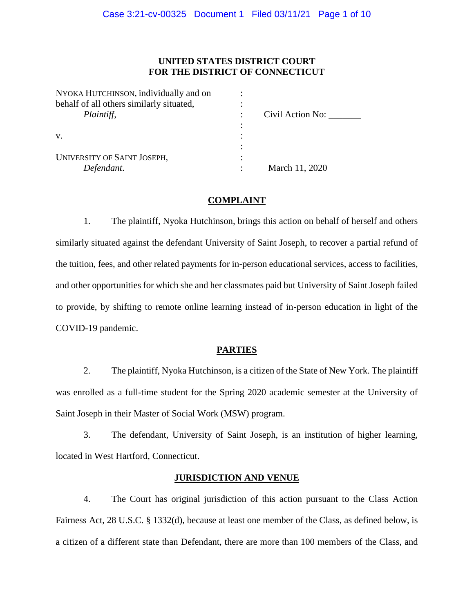# **UNITED STATES DISTRICT COURT FOR THE DISTRICT OF CONNECTICUT**

| NYOKA HUTCHINSON, individually and on    |                  |
|------------------------------------------|------------------|
| behalf of all others similarly situated, |                  |
| Plaintiff,                               | Civil Action No: |
|                                          |                  |
| V.                                       |                  |
|                                          |                  |
| <b>UNIVERSITY OF SAINT JOSEPH,</b>       |                  |
| Defendant.                               | March 11, 2020   |

## **COMPLAINT**

1. The plaintiff, Nyoka Hutchinson, brings this action on behalf of herself and others similarly situated against the defendant University of Saint Joseph, to recover a partial refund of the tuition, fees, and other related payments for in-person educational services, access to facilities, and other opportunities for which she and her classmates paid but University of Saint Joseph failed to provide, by shifting to remote online learning instead of in-person education in light of the COVID-19 pandemic.

## **PARTIES**

2. The plaintiff, Nyoka Hutchinson, is a citizen of the State of New York. The plaintiff was enrolled as a full-time student for the Spring 2020 academic semester at the University of Saint Joseph in their Master of Social Work (MSW) program.

3. The defendant, University of Saint Joseph, is an institution of higher learning, located in West Hartford, Connecticut.

## **JURISDICTION AND VENUE**

4. The Court has original jurisdiction of this action pursuant to the Class Action Fairness Act, 28 U.S.C. § 1332(d), because at least one member of the Class, as defined below, is a citizen of a different state than Defendant, there are more than 100 members of the Class, and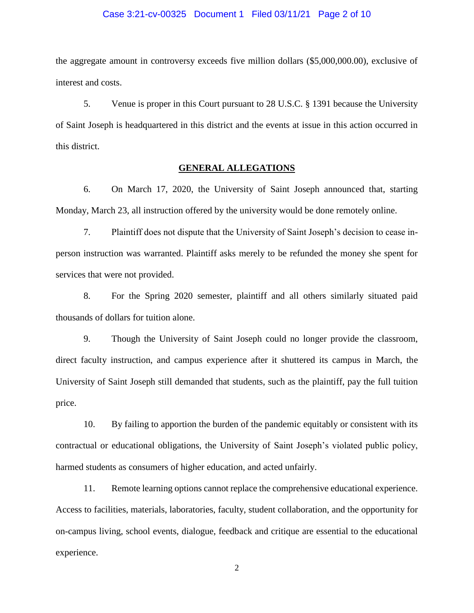#### Case 3:21-cv-00325 Document 1 Filed 03/11/21 Page 2 of 10

the aggregate amount in controversy exceeds five million dollars (\$5,000,000.00), exclusive of interest and costs.

5. Venue is proper in this Court pursuant to 28 U.S.C. § 1391 because the University of Saint Joseph is headquartered in this district and the events at issue in this action occurred in this district.

## **GENERAL ALLEGATIONS**

6. On March 17, 2020, the University of Saint Joseph announced that, starting Monday, March 23, all instruction offered by the university would be done remotely online.

7. Plaintiff does not dispute that the University of Saint Joseph's decision to cease inperson instruction was warranted. Plaintiff asks merely to be refunded the money she spent for services that were not provided.

8. For the Spring 2020 semester, plaintiff and all others similarly situated paid thousands of dollars for tuition alone.

9. Though the University of Saint Joseph could no longer provide the classroom, direct faculty instruction, and campus experience after it shuttered its campus in March, the University of Saint Joseph still demanded that students, such as the plaintiff, pay the full tuition price.

10. By failing to apportion the burden of the pandemic equitably or consistent with its contractual or educational obligations, the University of Saint Joseph's violated public policy, harmed students as consumers of higher education, and acted unfairly.

11. Remote learning options cannot replace the comprehensive educational experience. Access to facilities, materials, laboratories, faculty, student collaboration, and the opportunity for on-campus living, school events, dialogue, feedback and critique are essential to the educational experience.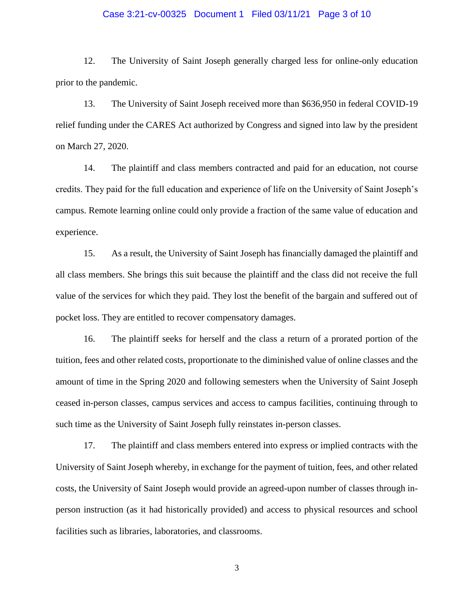### Case 3:21-cv-00325 Document 1 Filed 03/11/21 Page 3 of 10

12. The University of Saint Joseph generally charged less for online-only education prior to the pandemic.

13. The University of Saint Joseph received more than \$636,950 in federal COVID-19 relief funding under the CARES Act authorized by Congress and signed into law by the president on March 27, 2020.

14. The plaintiff and class members contracted and paid for an education, not course credits. They paid for the full education and experience of life on the University of Saint Joseph's campus. Remote learning online could only provide a fraction of the same value of education and experience.

15. As a result, the University of Saint Joseph has financially damaged the plaintiff and all class members. She brings this suit because the plaintiff and the class did not receive the full value of the services for which they paid. They lost the benefit of the bargain and suffered out of pocket loss. They are entitled to recover compensatory damages.

16. The plaintiff seeks for herself and the class a return of a prorated portion of the tuition, fees and other related costs, proportionate to the diminished value of online classes and the amount of time in the Spring 2020 and following semesters when the University of Saint Joseph ceased in-person classes, campus services and access to campus facilities, continuing through to such time as the University of Saint Joseph fully reinstates in-person classes.

17. The plaintiff and class members entered into express or implied contracts with the University of Saint Joseph whereby, in exchange for the payment of tuition, fees, and other related costs, the University of Saint Joseph would provide an agreed-upon number of classes through inperson instruction (as it had historically provided) and access to physical resources and school facilities such as libraries, laboratories, and classrooms.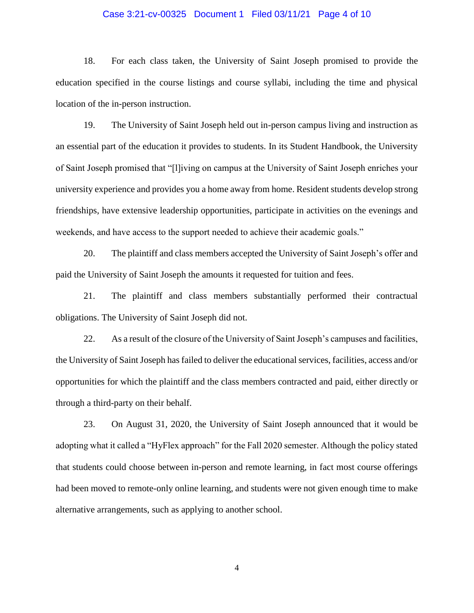### Case 3:21-cv-00325 Document 1 Filed 03/11/21 Page 4 of 10

18. For each class taken, the University of Saint Joseph promised to provide the education specified in the course listings and course syllabi, including the time and physical location of the in-person instruction.

19. The University of Saint Joseph held out in-person campus living and instruction as an essential part of the education it provides to students. In its Student Handbook, the University of Saint Joseph promised that "[l]iving on campus at the University of Saint Joseph enriches your university experience and provides you a home away from home. Resident students develop strong friendships, have extensive leadership opportunities, participate in activities on the evenings and weekends, and have access to the support needed to achieve their academic goals."

20. The plaintiff and class members accepted the University of Saint Joseph's offer and paid the University of Saint Joseph the amounts it requested for tuition and fees.

21. The plaintiff and class members substantially performed their contractual obligations. The University of Saint Joseph did not.

22. As a result of the closure of the University of Saint Joseph's campuses and facilities, the University of Saint Joseph has failed to deliver the educational services, facilities, access and/or opportunities for which the plaintiff and the class members contracted and paid, either directly or through a third-party on their behalf.

23. On August 31, 2020, the University of Saint Joseph announced that it would be adopting what it called a "HyFlex approach" for the Fall 2020 semester. Although the policy stated that students could choose between in-person and remote learning, in fact most course offerings had been moved to remote-only online learning, and students were not given enough time to make alternative arrangements, such as applying to another school.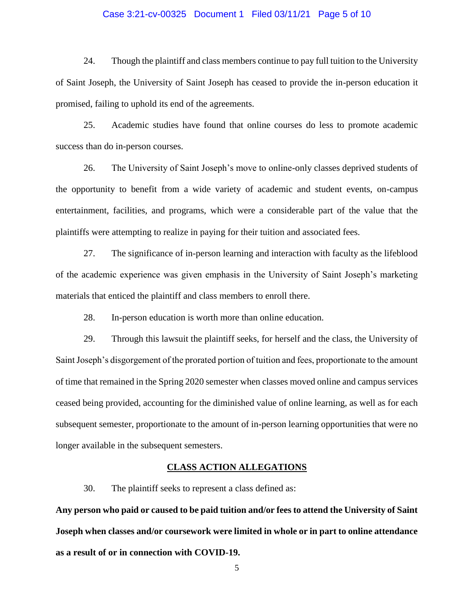## Case 3:21-cv-00325 Document 1 Filed 03/11/21 Page 5 of 10

24. Though the plaintiff and class members continue to pay full tuition to the University of Saint Joseph, the University of Saint Joseph has ceased to provide the in-person education it promised, failing to uphold its end of the agreements.

25. Academic studies have found that online courses do less to promote academic success than do in-person courses.

26. The University of Saint Joseph's move to online-only classes deprived students of the opportunity to benefit from a wide variety of academic and student events, on-campus entertainment, facilities, and programs, which were a considerable part of the value that the plaintiffs were attempting to realize in paying for their tuition and associated fees.

27. The significance of in-person learning and interaction with faculty as the lifeblood of the academic experience was given emphasis in the University of Saint Joseph's marketing materials that enticed the plaintiff and class members to enroll there.

28. In-person education is worth more than online education.

29. Through this lawsuit the plaintiff seeks, for herself and the class, the University of Saint Joseph's disgorgement of the prorated portion of tuition and fees, proportionate to the amount of time that remained in the Spring 2020 semester when classes moved online and campus services ceased being provided, accounting for the diminished value of online learning, as well as for each subsequent semester, proportionate to the amount of in-person learning opportunities that were no longer available in the subsequent semesters.

#### **CLASS ACTION ALLEGATIONS**

30. The plaintiff seeks to represent a class defined as:

**Any person who paid or caused to be paid tuition and/or fees to attend the University of Saint Joseph when classes and/or coursework were limited in whole or in part to online attendance as a result of or in connection with COVID-19.**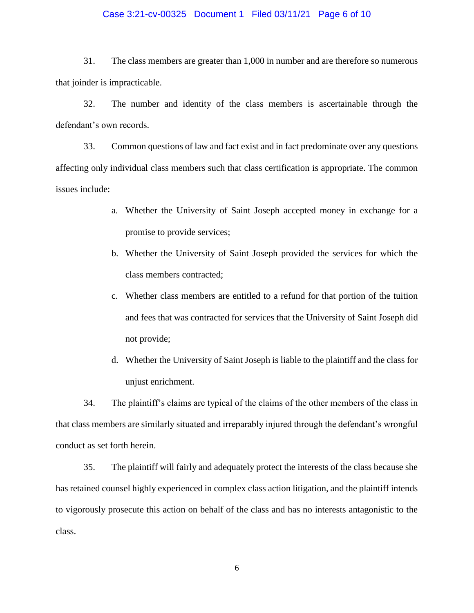### Case 3:21-cv-00325 Document 1 Filed 03/11/21 Page 6 of 10

31. The class members are greater than 1,000 in number and are therefore so numerous that joinder is impracticable.

32. The number and identity of the class members is ascertainable through the defendant's own records.

33. Common questions of law and fact exist and in fact predominate over any questions affecting only individual class members such that class certification is appropriate. The common issues include:

- a. Whether the University of Saint Joseph accepted money in exchange for a promise to provide services;
- b. Whether the University of Saint Joseph provided the services for which the class members contracted;
- c. Whether class members are entitled to a refund for that portion of the tuition and fees that was contracted for services that the University of Saint Joseph did not provide;
- d. Whether the University of Saint Joseph is liable to the plaintiff and the class for unjust enrichment.

34. The plaintiff's claims are typical of the claims of the other members of the class in that class members are similarly situated and irreparably injured through the defendant's wrongful conduct as set forth herein.

35. The plaintiff will fairly and adequately protect the interests of the class because she has retained counsel highly experienced in complex class action litigation, and the plaintiff intends to vigorously prosecute this action on behalf of the class and has no interests antagonistic to the class.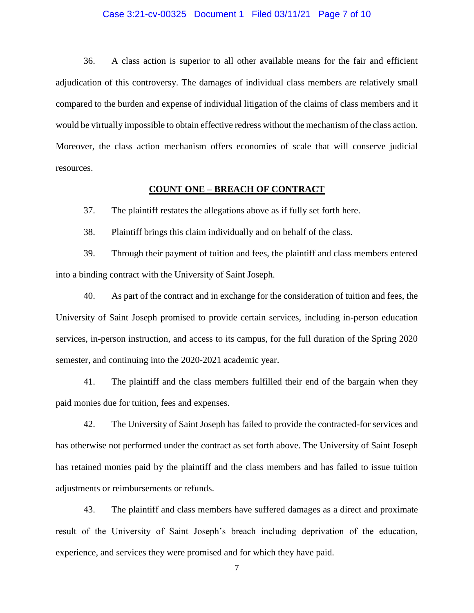#### Case 3:21-cv-00325 Document 1 Filed 03/11/21 Page 7 of 10

36. A class action is superior to all other available means for the fair and efficient adjudication of this controversy. The damages of individual class members are relatively small compared to the burden and expense of individual litigation of the claims of class members and it would be virtually impossible to obtain effective redress without the mechanism of the class action. Moreover, the class action mechanism offers economies of scale that will conserve judicial resources.

#### **COUNT ONE – BREACH OF CONTRACT**

37. The plaintiff restates the allegations above as if fully set forth here.

38. Plaintiff brings this claim individually and on behalf of the class.

39. Through their payment of tuition and fees, the plaintiff and class members entered into a binding contract with the University of Saint Joseph.

40. As part of the contract and in exchange for the consideration of tuition and fees, the University of Saint Joseph promised to provide certain services, including in-person education services, in-person instruction, and access to its campus, for the full duration of the Spring 2020 semester, and continuing into the 2020-2021 academic year.

41. The plaintiff and the class members fulfilled their end of the bargain when they paid monies due for tuition, fees and expenses.

42. The University of Saint Joseph has failed to provide the contracted-for services and has otherwise not performed under the contract as set forth above. The University of Saint Joseph has retained monies paid by the plaintiff and the class members and has failed to issue tuition adjustments or reimbursements or refunds.

43. The plaintiff and class members have suffered damages as a direct and proximate result of the University of Saint Joseph's breach including deprivation of the education, experience, and services they were promised and for which they have paid.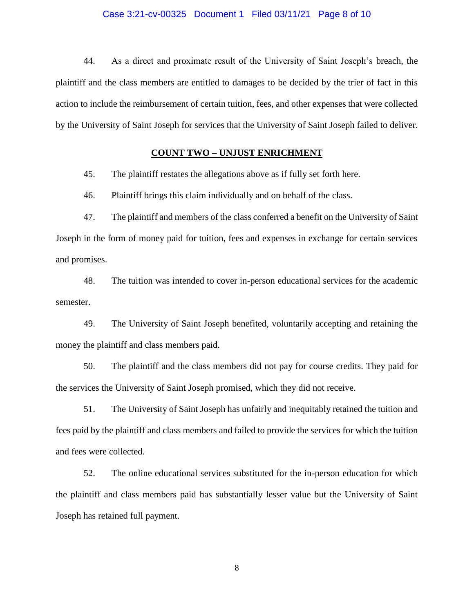#### Case 3:21-cv-00325 Document 1 Filed 03/11/21 Page 8 of 10

44. As a direct and proximate result of the University of Saint Joseph's breach, the plaintiff and the class members are entitled to damages to be decided by the trier of fact in this action to include the reimbursement of certain tuition, fees, and other expenses that were collected by the University of Saint Joseph for services that the University of Saint Joseph failed to deliver.

### **COUNT TWO – UNJUST ENRICHMENT**

45. The plaintiff restates the allegations above as if fully set forth here.

46. Plaintiff brings this claim individually and on behalf of the class.

47. The plaintiff and members of the class conferred a benefit on the University of Saint Joseph in the form of money paid for tuition, fees and expenses in exchange for certain services and promises.

48. The tuition was intended to cover in-person educational services for the academic semester.

49. The University of Saint Joseph benefited, voluntarily accepting and retaining the money the plaintiff and class members paid.

50. The plaintiff and the class members did not pay for course credits. They paid for the services the University of Saint Joseph promised, which they did not receive.

51. The University of Saint Joseph has unfairly and inequitably retained the tuition and fees paid by the plaintiff and class members and failed to provide the services for which the tuition and fees were collected.

52. The online educational services substituted for the in-person education for which the plaintiff and class members paid has substantially lesser value but the University of Saint Joseph has retained full payment.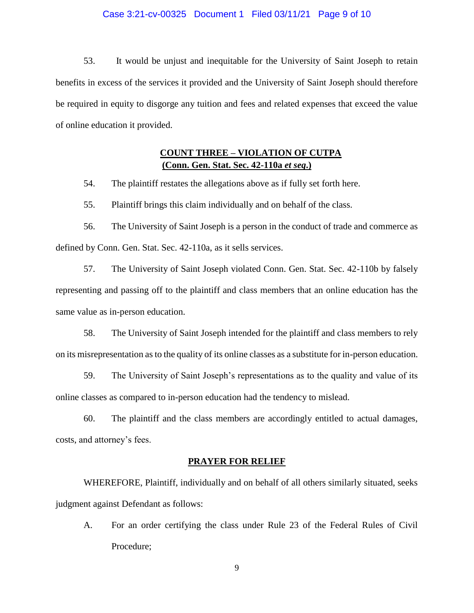#### Case 3:21-cv-00325 Document 1 Filed 03/11/21 Page 9 of 10

53. It would be unjust and inequitable for the University of Saint Joseph to retain benefits in excess of the services it provided and the University of Saint Joseph should therefore be required in equity to disgorge any tuition and fees and related expenses that exceed the value of online education it provided.

# **COUNT THREE – VIOLATION OF CUTPA (Conn. Gen. Stat. Sec. 42-110a** *et seq***.)**

54. The plaintiff restates the allegations above as if fully set forth here.

55. Plaintiff brings this claim individually and on behalf of the class.

56. The University of Saint Joseph is a person in the conduct of trade and commerce as defined by Conn. Gen. Stat. Sec. 42-110a, as it sells services.

57. The University of Saint Joseph violated Conn. Gen. Stat. Sec. 42-110b by falsely representing and passing off to the plaintiff and class members that an online education has the same value as in-person education.

58. The University of Saint Joseph intended for the plaintiff and class members to rely on its misrepresentation as to the quality of its online classes as a substitute for in-person education.

59. The University of Saint Joseph's representations as to the quality and value of its online classes as compared to in-person education had the tendency to mislead.

60. The plaintiff and the class members are accordingly entitled to actual damages, costs, and attorney's fees.

# **PRAYER FOR RELIEF**

WHEREFORE, Plaintiff, individually and on behalf of all others similarly situated, seeks judgment against Defendant as follows:

A. For an order certifying the class under Rule 23 of the Federal Rules of Civil Procedure;